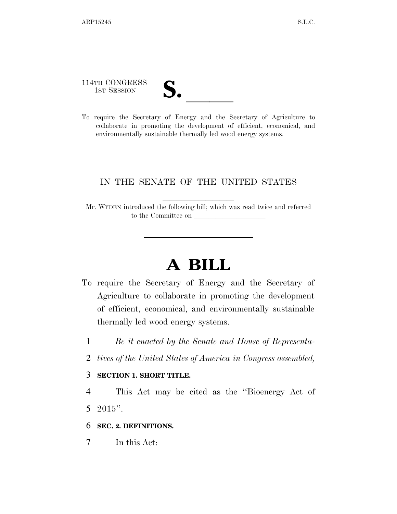114TH CONGRESS

- 
- 114TH CONGRESS<br>
1ST SESSION<br>
To require the Secretary of Energy and the Secretary of Agriculture to collaborate in promoting the development of efficient, economical, and environmentally sustainable thermally led wood energy systems.

## IN THE SENATE OF THE UNITED STATES

Mr. WYDEN introduced the following bill; which was read twice and referred to the Committee on

## **A BILL**

- To require the Secretary of Energy and the Secretary of Agriculture to collaborate in promoting the development of efficient, economical, and environmentally sustainable thermally led wood energy systems.
	- 1 *Be it enacted by the Senate and House of Representa-*
	- 2 *tives of the United States of America in Congress assembled,*

## 3 **SECTION 1. SHORT TITLE.**

4 This Act may be cited as the ''Bioenergy Act of 5 2015 $"$ .

6 **SEC. 2. DEFINITIONS.** 

7 In this Act: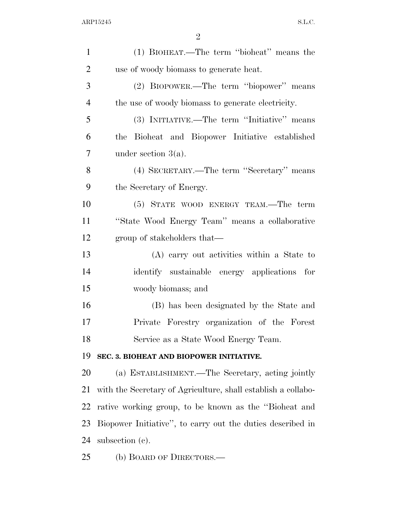| $\mathbf{1}$   | (1) BIOHEAT.—The term "bioheat" means the                     |
|----------------|---------------------------------------------------------------|
| $\overline{2}$ | use of woody biomass to generate heat.                        |
| 3              | (2) BIOPOWER.—The term "biopower" means                       |
| $\overline{4}$ | the use of woody biomass to generate electricity.             |
| 5              | (3) INITIATIVE.—The term "Initiative" means                   |
| 6              | the Bioheat and Biopower Initiative established               |
| $\overline{7}$ | under section $3(a)$ .                                        |
| 8              | (4) SECRETARY.—The term "Secretary" means                     |
| 9              | the Secretary of Energy.                                      |
| 10             | (5) STATE WOOD ENERGY TEAM.—The term                          |
| 11             | "State Wood Energy Team" means a collaborative                |
| 12             | group of stakeholders that—                                   |
| 13             | (A) carry out activities within a State to                    |
| 14             | identify sustainable energy applications for                  |
| 15             | woody biomass; and                                            |
| 16             | (B) has been designated by the State and                      |
| 17             | Private Forestry organization of the Forest                   |
| 18             | Service as a State Wood Energy Team.                          |
| 19             | SEC. 3. BIOHEAT AND BIOPOWER INITIATIVE.                      |
| 20             | (a) ESTABLISHMENT.—The Secretary, acting jointly              |
| 21             | with the Secretary of Agriculture, shall establish a collabo- |
| 22             | rative working group, to be known as the "Bioheat and         |
| 23             | Biopower Initiative", to carry out the duties described in    |
| 24             | subsection (c).                                               |
| 25             | (b) BOARD OF DIRECTORS.—                                      |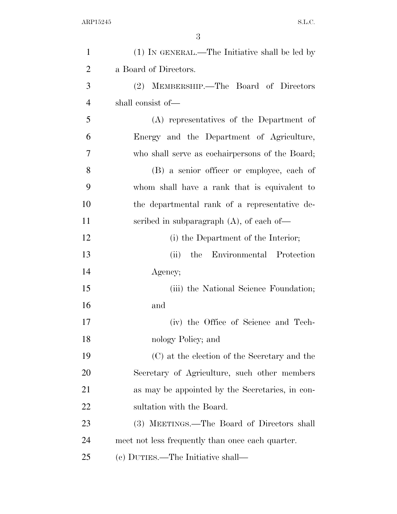| $\mathbf{1}$   | $(1)$ In GENERAL.—The Initiative shall be led by |
|----------------|--------------------------------------------------|
| $\overline{2}$ | a Board of Directors.                            |
| 3              | (2) MEMBERSHIP.—The Board of Directors           |
| $\overline{4}$ | shall consist of—                                |
| 5              | (A) representatives of the Department of         |
| 6              | Energy and the Department of Agriculture,        |
| 7              | who shall serve as cochairpersons of the Board;  |
| 8              | (B) a senior officer or employee, each of        |
| 9              | whom shall have a rank that is equivalent to     |
| 10             | the departmental rank of a representative de-    |
| 11             | scribed in subparagraph $(A)$ , of each of-      |
| 12             | (i) the Department of the Interior;              |
| 13             | the Environmental Protection<br>(ii)             |
| 14             | Agency;                                          |
| 15             | (iii) the National Science Foundation;           |
| 16             | and                                              |
| 17             | (iv) the Office of Science and Tech-             |
| 18             | nology Policy; and                               |
| 19             | (C) at the election of the Secretary and the     |
| <b>20</b>      | Secretary of Agriculture, such other members     |
| 21             | as may be appointed by the Secretaries, in con-  |
| 22             | sultation with the Board.                        |
| 23             | (3) MEETINGS.—The Board of Directors shall       |
| 24             | meet not less frequently than once each quarter. |
| 25             | (c) DUTIES.—The Initiative shall—                |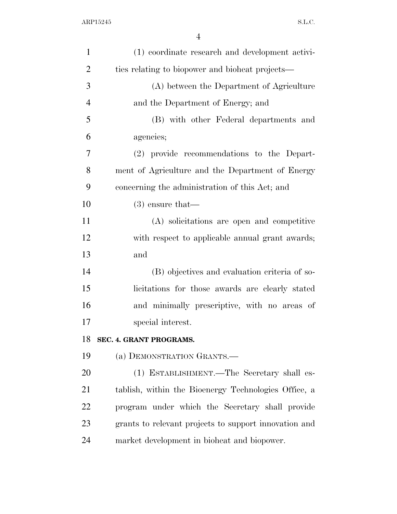| $\mathbf{1}$   | (1) coordinate research and development activi-       |
|----------------|-------------------------------------------------------|
| $\overline{2}$ | ties relating to biopower and bioheat projects—       |
| 3              | (A) between the Department of Agriculture             |
| $\overline{4}$ | and the Department of Energy; and                     |
| 5              | (B) with other Federal departments and                |
| 6              | agencies;                                             |
| 7              | (2) provide recommendations to the Depart-            |
| 8              | ment of Agriculture and the Department of Energy      |
| 9              | concerning the administration of this Act; and        |
| 10             | $(3)$ ensure that—                                    |
| 11             | (A) solicitations are open and competitive            |
| 12             | with respect to applicable annual grant awards;       |
| 13             | and                                                   |
| 14             | (B) objectives and evaluation criteria of so-         |
| 15             | licitations for those awards are clearly stated       |
| 16             | and minimally prescriptive, with no areas of          |
| 17             | special interest.                                     |
| 18             | SEC. 4. GRANT PROGRAMS.                               |
| 19             | (a) DEMONSTRATION GRANTS.-                            |
| 20             | (1) ESTABLISHMENT.—The Secretary shall es-            |
| 21             | tablish, within the Bioenergy Technologies Office, a  |
| 22             | program under which the Secretary shall provide       |
| 23             | grants to relevant projects to support innovation and |
| 24             | market development in bioheat and biopower.           |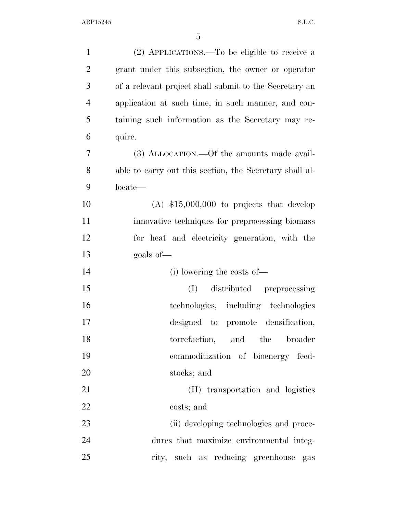| $\mathbf{1}$   | (2) APPLICATIONS.—To be eligible to receive a           |
|----------------|---------------------------------------------------------|
| $\overline{2}$ | grant under this subsection, the owner or operator      |
| 3              | of a relevant project shall submit to the Secretary an  |
| $\overline{4}$ | application at such time, in such manner, and con-      |
| 5              | taining such information as the Secretary may re-       |
| 6              | quire.                                                  |
| 7              | (3) ALLOCATION.—Of the amounts made avail-              |
| 8              | able to carry out this section, the Secretary shall al- |
| 9              | locate—                                                 |
| 10             | $(A)$ \$15,000,000 to projects that develop             |
| 11             | innovative techniques for preprocessing biomass         |
| 12             | for heat and electricity generation, with the           |
|                |                                                         |
| 13             | goals of-                                               |
| 14             | (i) lowering the costs of—                              |
| 15             | distributed preprocessing<br>(I)                        |
| 16             | technologies, including technologies                    |
| 17             | designed to promote densification,                      |
| 18             | torrefaction, and the<br>broader                        |
| 19             | commoditization of bioenergy feed-                      |
| 20             | stocks; and                                             |
| 21             | (II) transportation and logistics                       |
| 22             | costs; and                                              |
| 23             | (ii) developing technologies and proce-                 |
| 24             | dures that maximize environmental integ-                |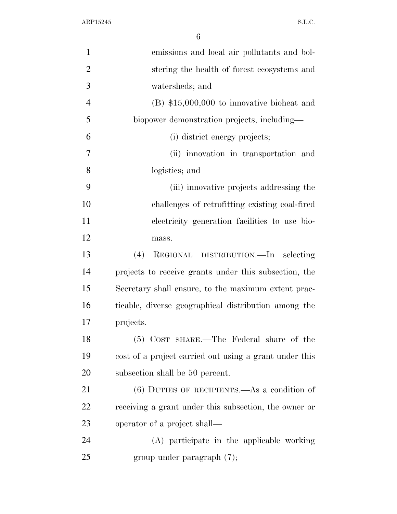| $\mathbf{1}$   | emissions and local air pollutants and bol-            |
|----------------|--------------------------------------------------------|
| $\overline{2}$ | stering the health of forest ecosystems and            |
| 3              | watersheds; and                                        |
| $\overline{4}$ | $(B)$ \$15,000,000 to innovative bioheat and           |
| 5              | biopower demonstration projects, including—            |
| 6              | (i) district energy projects;                          |
| 7              | (ii) innovation in transportation and                  |
| 8              | logistics; and                                         |
| 9              | (iii) innovative projects addressing the               |
| 10             | challenges of retrofitting existing coal-fired         |
| 11             | electricity generation facilities to use bio-          |
| 12             | mass.                                                  |
| 13             | (4)<br>REGIONAL DISTRIBUTION.—In selecting             |
| 14             | projects to receive grants under this subsection, the  |
| 15             | Secretary shall ensure, to the maximum extent prac-    |
| 16             | ticable, diverse geographical distribution among the   |
| 17             | projects.                                              |
| 18             | (5) COST SHARE.—The Federal share of the               |
| 19             | cost of a project carried out using a grant under this |
| 20             | subsection shall be 50 percent.                        |
| 21             | $(6)$ DUTIES OF RECIPIENTS.—As a condition of          |
| 22             | receiving a grant under this subsection, the owner or  |
| 23             | operator of a project shall—                           |
| 24             | (A) participate in the applicable working              |
| 25             | group under paragraph $(7)$ ;                          |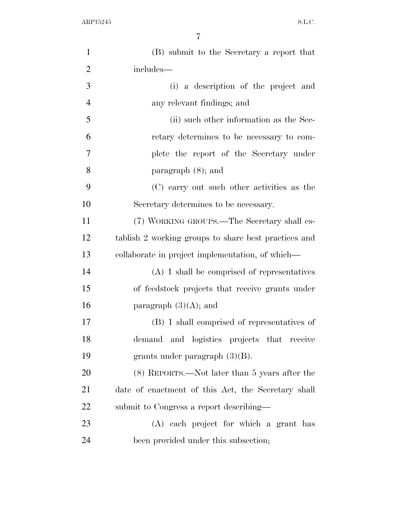| $\mathbf{1}$   | (B) submit to the Secretary a report that            |
|----------------|------------------------------------------------------|
| $\overline{2}$ | includes—                                            |
| 3              | (i) a description of the project and                 |
| $\overline{4}$ | any relevant findings; and                           |
| 5              | (ii) such other information as the Sec-              |
| 6              | retary determines to be necessary to com-            |
| 7              | plete the report of the Secretary under              |
| 8              | paragraph $(8)$ ; and                                |
| 9              | (C) carry out such other activities as the           |
| 10             | Secretary determines to be necessary.                |
| 11             | (7) WORKING GROUPS.—The Secretary shall es-          |
| 12             | tablish 2 working groups to share best practices and |
| 13             | collaborate in project implementation, of which—     |
| 14             | $(A)$ 1 shall be comprised of representatives        |
| 15             | of feedstock projects that receive grants under      |
| 16             | paragraph $(3)(A)$ ; and                             |
| 17             | (B) 1 shall comprised of representatives of          |
| 18             | demand and logistics projects that receive           |
| 19             | grants under paragraph $(3)(B)$ .                    |
| 20             | $(8)$ REPORTS.—Not later than 5 years after the      |
| 21             | date of enactment of this Act, the Secretary shall   |
| 22             | submit to Congress a report describing—              |
| 23             | (A) each project for which a grant has               |
| 24             | been provided under this subsection;                 |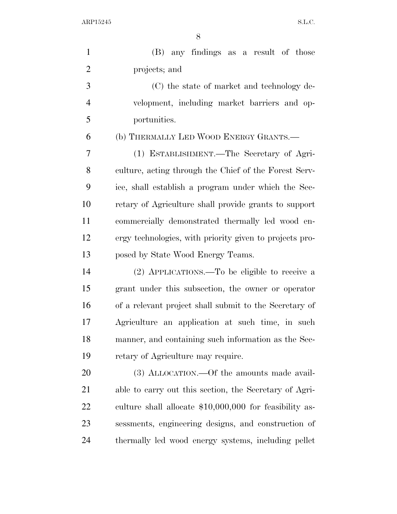ARP15245 S.L.C.

| $\mathbf{1}$   | (B) any findings as a result of those                   |
|----------------|---------------------------------------------------------|
| $\overline{2}$ | projects; and                                           |
| 3              | (C) the state of market and technology de-              |
| $\overline{4}$ | velopment, including market barriers and op-            |
| 5              | portunities.                                            |
| 6              | (b) THERMALLY LED WOOD ENERGY GRANTS.-                  |
| 7              | (1) ESTABLISHMENT.—The Secretary of Agri-               |
| 8              | culture, acting through the Chief of the Forest Serv-   |
| 9              | ice, shall establish a program under which the Sec-     |
| 10             | retary of Agriculture shall provide grants to support   |
| 11             | commercially demonstrated thermally led wood en-        |
| 12             | ergy technologies, with priority given to projects pro- |
| 13             | posed by State Wood Energy Teams.                       |
| 14             | (2) APPLICATIONS.—To be eligible to receive a           |
| 15             | grant under this subsection, the owner or operator      |
| 16             | of a relevant project shall submit to the Secretary of  |
| 17             | Agriculture an application at such time, in such        |
| 18             | manner, and containing such information as the Sec-     |
| 19             | retary of Agriculture may require.                      |
| 20             | (3) ALLOCATION.—Of the amounts made avail-              |
| 21             | able to carry out this section, the Secretary of Agri-  |
| 22             | culture shall allocate \$10,000,000 for feasibility as- |
| 23             | sessments, engineering designs, and construction of     |
| 24             | thermally led wood energy systems, including pellet     |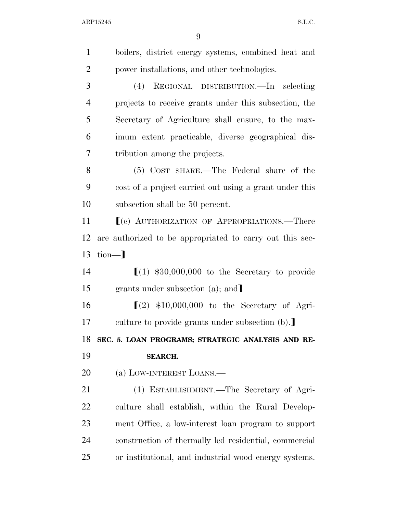| $\mathbf{1}$   | boilers, district energy systems, combined heat and      |
|----------------|----------------------------------------------------------|
| $\overline{2}$ | power installations, and other technologies.             |
| 3              | (4)<br>REGIONAL DISTRIBUTION.—In selecting               |
| $\overline{4}$ | projects to receive grants under this subsection, the    |
| 5              | Secretary of Agriculture shall ensure, to the max-       |
| 6              | imum extent practicable, diverse geographical dis-       |
| 7              | tribution among the projects.                            |
| 8              | (5) COST SHARE.—The Federal share of the                 |
| 9              | cost of a project carried out using a grant under this   |
| 10             | subsection shall be 50 percent.                          |
| 11             | [(c) AUTHORIZATION OF APPROPRIATIONS.—There              |
| 12             | are authorized to be appropriated to carry out this sec- |
| 13             | $\text{tion}$                                            |
| 14             | $(1)$ \$30,000,000 to the Secretary to provide           |
| 15             | grants under subsection (a); and                         |
| 16             | $(2)$ \$10,000,000 to the Secretary of Agri-             |
| 17             | culture to provide grants under subsection (b).          |
| 18             | SEC. 5. LOAN PROGRAMS; STRATEGIC ANALYSIS AND RE-        |
| 19             | <b>SEARCH.</b>                                           |
| 20             | (a) LOW-INTEREST LOANS.—                                 |
| 21             | (1) ESTABLISHMENT.—The Secretary of Agri-                |
| 22             |                                                          |
|                | culture shall establish, within the Rural Develop-       |
| 23             | ment Office, a low-interest loan program to support      |
| 24             | construction of thermally led residential, commercial    |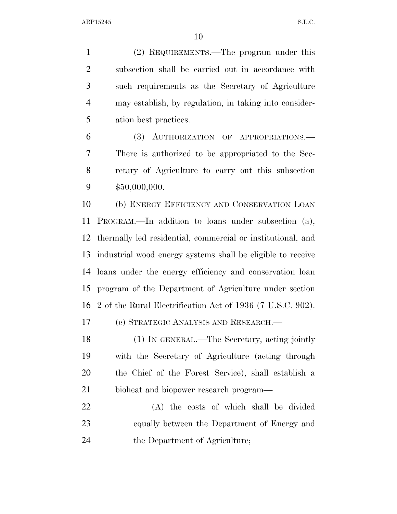ARP15245 S.L.C.

 (2) REQUIREMENTS.—The program under this subsection shall be carried out in accordance with such requirements as the Secretary of Agriculture may establish, by regulation, in taking into consider- ation best practices. (3) AUTHORIZATION OF APPROPRIATIONS.—

 There is authorized to be appropriated to the Sec- retary of Agriculture to carry out this subsection \$50,000,000.

 (b) ENERGY EFFICIENCY AND CONSERVATION LOAN PROGRAM.—In addition to loans under subsection (a), thermally led residential, commercial or institutional, and industrial wood energy systems shall be eligible to receive loans under the energy efficiency and conservation loan program of the Department of Agriculture under section 2 of the Rural Electrification Act of 1936 (7 U.S.C. 902).

(c) STRATEGIC ANALYSIS AND RESEARCH.—

 (1) IN GENERAL.—The Secretary, acting jointly with the Secretary of Agriculture (acting through the Chief of the Forest Service), shall establish a bioheat and biopower research program—

 (A) the costs of which shall be divided equally between the Department of Energy and the Department of Agriculture;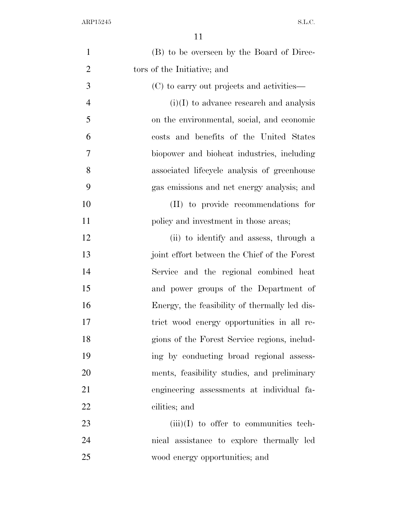| $\mathbf{1}$   | (B) to be overseen by the Board of Direc-     |
|----------------|-----------------------------------------------|
| $\overline{2}$ | tors of the Initiative; and                   |
| 3              | (C) to carry out projects and activities—     |
| $\overline{4}$ | $(i)(I)$ to advance research and analysis     |
| 5              | on the environmental, social, and economic    |
| 6              | costs and benefits of the United States       |
| 7              | biopower and bioheat industries, including    |
| 8              | associated lifecycle analysis of greenhouse   |
| 9              | gas emissions and net energy analysis; and    |
| 10             | (II) to provide recommendations for           |
| 11             | policy and investment in those areas;         |
| 12             | (ii) to identify and assess, through a        |
| 13             | joint effort between the Chief of the Forest  |
| 14             | Service and the regional combined heat        |
| 15             | and power groups of the Department of         |
| 16             | Energy, the feasibility of thermally led dis- |
| 17             | trict wood energy opportunities in all re-    |
| 18             | gions of the Forest Service regions, includ-  |
| 19             | ing by conducting broad regional assess-      |
| 20             | ments, feasibility studies, and preliminary   |
| 21             | engineering assessments at individual fa-     |
| 22             | cilities; and                                 |
| 23             | $(iii)(I)$ to offer to communities tech-      |
| 24             | nical assistance to explore thermally led     |
| 25             | wood energy opportunities; and                |